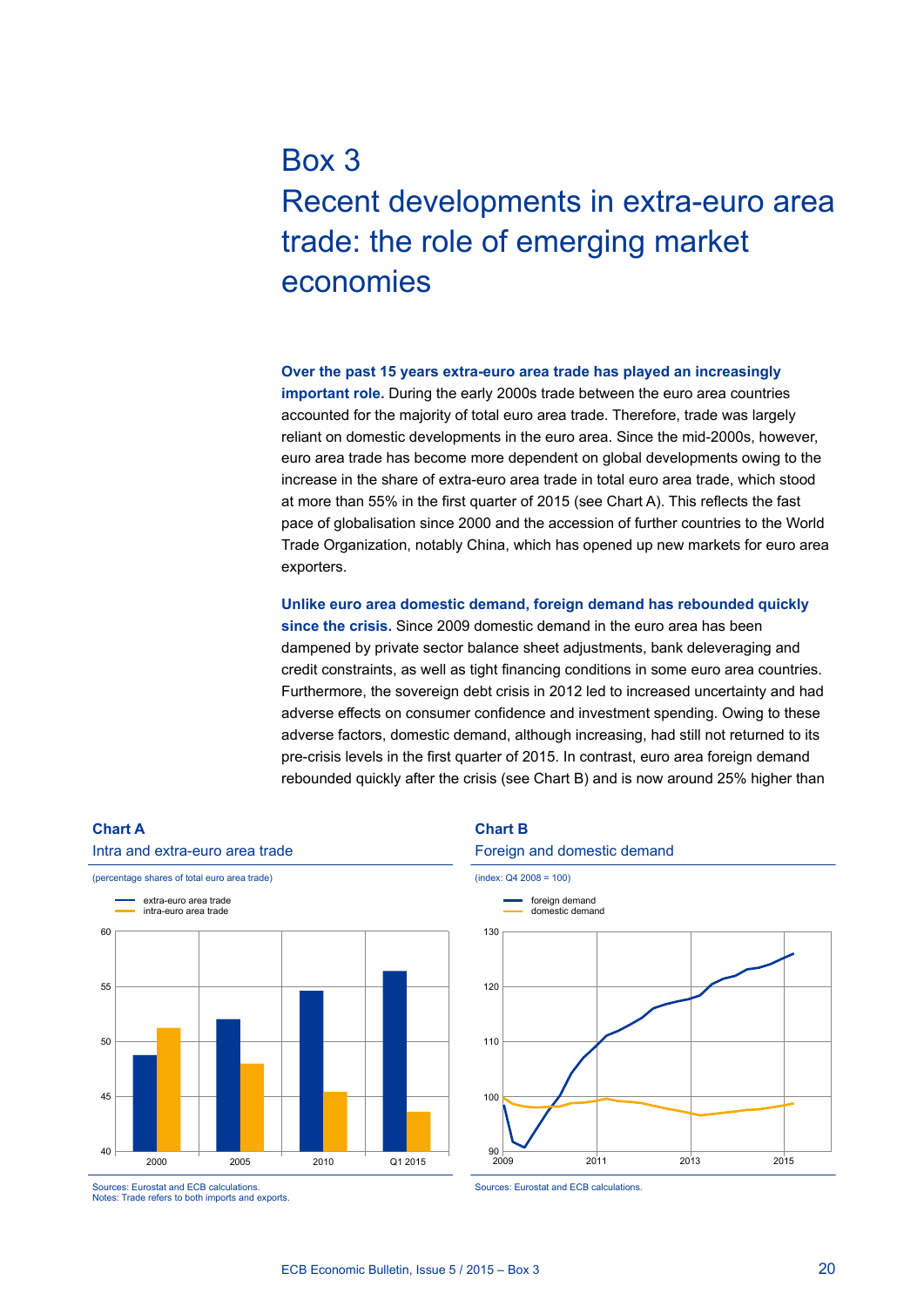# Box 3 Recent developments in extra-euro area trade: the role of emerging market economies

**Over the past 15 years extra-euro area trade has played an increasingly important role.** During the early 2000s trade between the euro area countries accounted for the majority of total euro area trade. Therefore, trade was largely reliant on domestic developments in the euro area. Since the mid-2000s, however, euro area trade has become more dependent on global developments owing to the increase in the share of extra-euro area trade in total euro area trade, which stood at more than 55% in the first quarter of 2015 (see Chart A). This reflects the fast pace of globalisation since 2000 and the accession of further countries to the World Trade Organization, notably China, which has opened up new markets for euro area exporters.

**Unlike euro area domestic demand, foreign demand has rebounded quickly since the crisis.** Since 2009 domestic demand in the euro area has been dampened by private sector balance sheet adjustments, bank deleveraging and credit constraints, as well as tight financing conditions in some euro area countries. Furthermore, the sovereign debt crisis in 2012 led to increased uncertainty and had adverse effects on consumer confidence and investment spending. Owing to these adverse factors, domestic demand, although increasing, had still not returned to its pre-crisis levels in the first quarter of 2015. In contrast, euro area foreign demand rebounded quickly after the crisis (see Chart B) and is now around 25% higher than



Sources: Eurostat and ECB calculations. Notes: Trade refers to both imports and exports.

#### **Chart B**

#### Foreign and domestic demand



Sources: Eurostat and ECB calculations.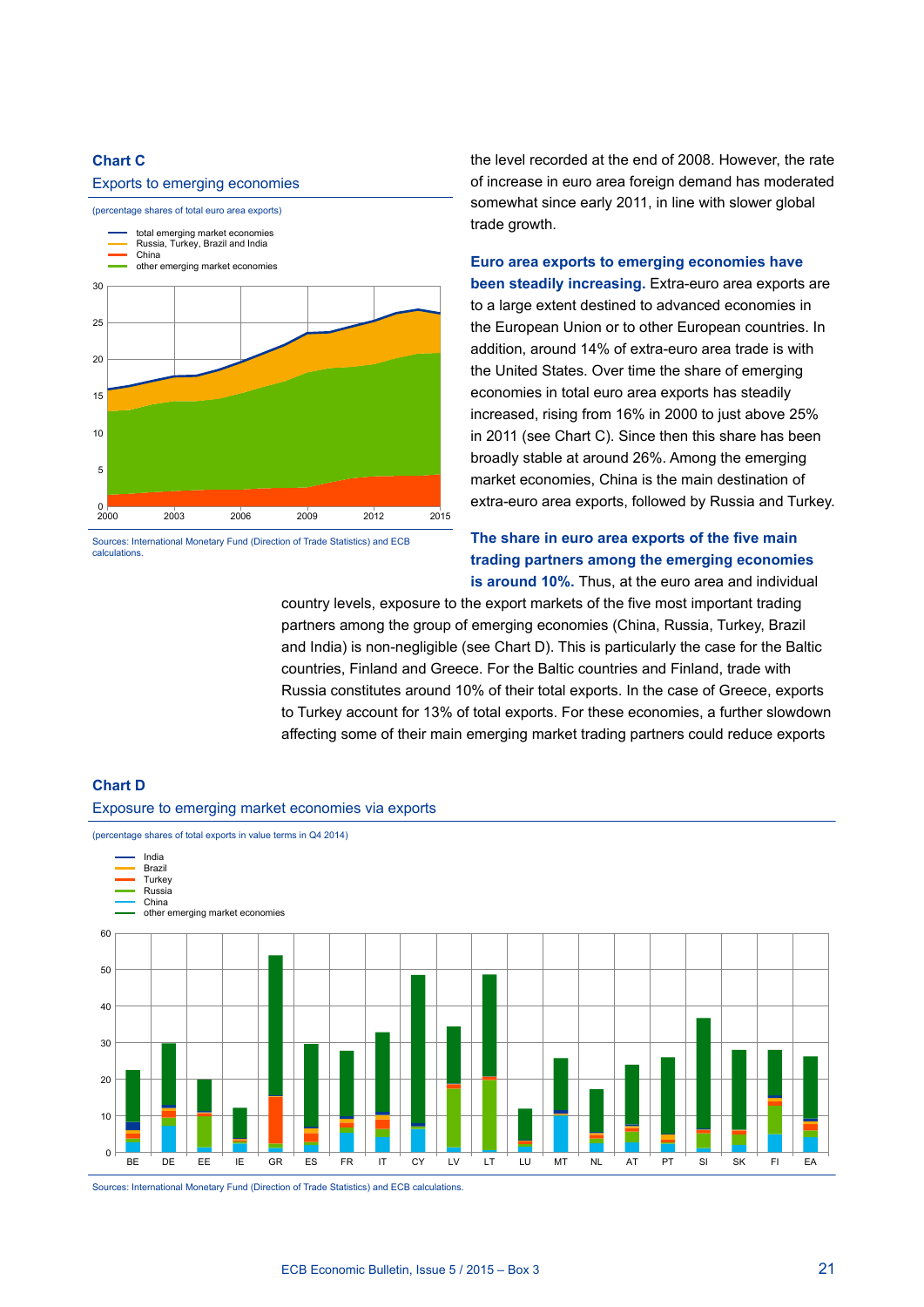## **Chart C**

### Exports to emerging economies



Sources: International Monetary Fund (Direction of Trade Statistics) and ECB calculations.

the level recorded at the end of 2008. However, the rate of increase in euro area foreign demand has moderated somewhat since early 2011, in line with slower global trade growth.

**Euro area exports to emerging economies have been steadily increasing.** Extra-euro area exports are to a large extent destined to advanced economies in the European Union or to other European countries. In addition, around 14% of extra-euro area trade is with the United States. Over time the share of emerging economies in total euro area exports has steadily increased, rising from 16% in 2000 to just above 25% in 2011 (see Chart C). Since then this share has been broadly stable at around 26%. Among the emerging market economies, China is the main destination of extra-euro area exports, followed by Russia and Turkey.

## **The share in euro area exports of the five main trading partners among the emerging economies is around 10%.** Thus, at the euro area and individual

country levels, exposure to the export markets of the five most important trading partners among the group of emerging economies (China, Russia, Turkey, Brazil and India) is non-negligible (see Chart D). This is particularly the case for the Baltic countries, Finland and Greece. For the Baltic countries and Finland, trade with Russia constitutes around 10% of their total exports. In the case of Greece, exports to Turkey account for 13% of total exports. For these economies, a further slowdown affecting some of their main emerging market trading partners could reduce exports





Sources: International Monetary Fund (Direction of Trade Statistics) and ECB calculations.